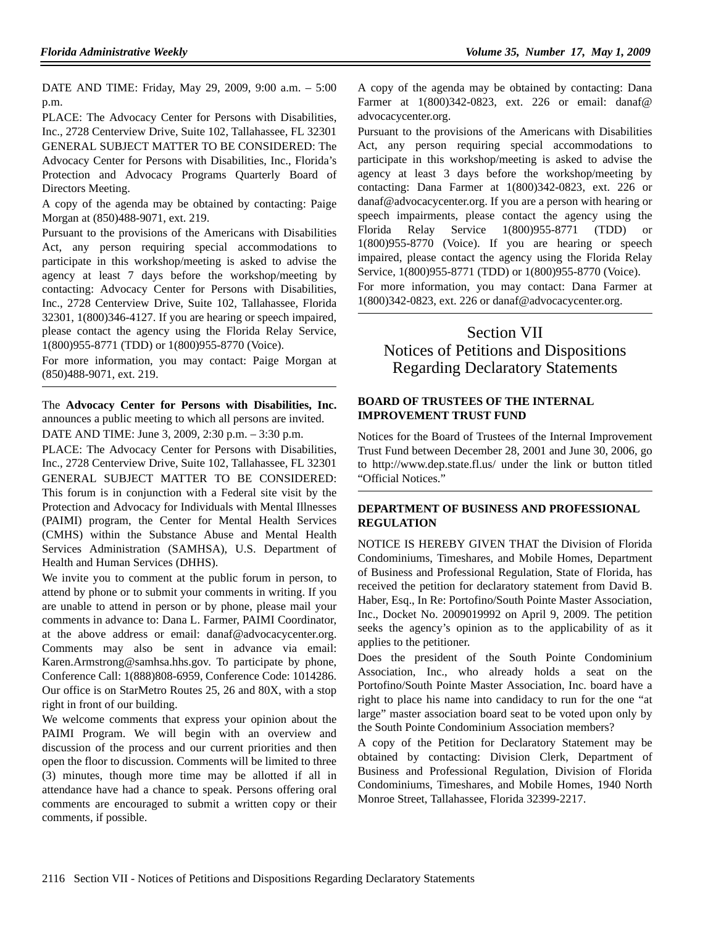DATE AND TIME: Friday, May 29, 2009, 9:00 a.m. – 5:00 p.m.

PLACE: The Advocacy Center for Persons with Disabilities, Inc., 2728 Centerview Drive, Suite 102, Tallahassee, FL 32301 GENERAL SUBJECT MATTER TO BE CONSIDERED: The Advocacy Center for Persons with Disabilities, Inc., Florida's Protection and Advocacy Programs Quarterly Board of Directors Meeting.

A copy of the agenda may be obtained by contacting: Paige Morgan at (850)488-9071, ext. 219.

Pursuant to the provisions of the Americans with Disabilities Act, any person requiring special accommodations to participate in this workshop/meeting is asked to advise the agency at least 7 days before the workshop/meeting by contacting: Advocacy Center for Persons with Disabilities, Inc., 2728 Centerview Drive, Suite 102, Tallahassee, Florida 32301, 1(800)346-4127. If you are hearing or speech impaired, please contact the agency using the Florida Relay Service, 1(800)955-8771 (TDD) or 1(800)955-8770 (Voice).

For more information, you may contact: Paige Morgan at (850)488-9071, ext. 219.

The **Advocacy Center for Persons with Disabilities, Inc.** announces a public meeting to which all persons are invited.

DATE AND TIME: June 3, 2009, 2:30 p.m. – 3:30 p.m.

PLACE: The Advocacy Center for Persons with Disabilities, Inc., 2728 Centerview Drive, Suite 102, Tallahassee, FL 32301 GENERAL SUBJECT MATTER TO BE CONSIDERED: This forum is in conjunction with a Federal site visit by the Protection and Advocacy for Individuals with Mental Illnesses (PAIMI) program, the Center for Mental Health Services (CMHS) within the Substance Abuse and Mental Health Services Administration (SAMHSA), U.S. Department of Health and Human Services (DHHS).

We invite you to comment at the public forum in person, to attend by phone or to submit your comments in writing. If you are unable to attend in person or by phone, please mail your comments in advance to: Dana L. Farmer, PAIMI Coordinator, at the above address or email: danaf@advocacycenter.org. Comments may also be sent in advance via email: Karen.Armstrong@samhsa.hhs.gov. To participate by phone, Conference Call: 1(888)808-6959, Conference Code: 1014286. Our office is on StarMetro Routes 25, 26 and 80X, with a stop right in front of our building.

We welcome comments that express your opinion about the PAIMI Program. We will begin with an overview and discussion of the process and our current priorities and then open the floor to discussion. Comments will be limited to three (3) minutes, though more time may be allotted if all in attendance have had a chance to speak. Persons offering oral comments are encouraged to submit a written copy or their comments, if possible.

A copy of the agenda may be obtained by contacting: Dana Farmer at 1(800)342-0823, ext. 226 or email: danaf@ advocacycenter.org.

Pursuant to the provisions of the Americans with Disabilities Act, any person requiring special accommodations to participate in this workshop/meeting is asked to advise the agency at least 3 days before the workshop/meeting by contacting: Dana Farmer at 1(800)342-0823, ext. 226 or danaf@advocacycenter.org. If you are a person with hearing or speech impairments, please contact the agency using the Florida Relay Service 1(800)955-8771 (TDD) or 1(800)955-8770 (Voice). If you are hearing or speech impaired, please contact the agency using the Florida Relay Service, 1(800)955-8771 (TDD) or 1(800)955-8770 (Voice).

For more information, you may contact: Dana Farmer at 1(800)342-0823, ext. 226 or danaf@advocacycenter.org.

# Section VII Notices of Petitions and Dispositions Regarding Declaratory Statements

#### **BOARD OF TRUSTEES OF THE INTERNAL IMPROVEMENT TRUST FUND**

Notices for the Board of Trustees of the Internal Improvement Trust Fund between December 28, 2001 and June 30, 2006, go to http://www.dep.state.fl.us/ under the link or button titled "Official Notices."

## **DEPARTMENT OF BUSINESS AND PROFESSIONAL REGULATION**

NOTICE IS HEREBY GIVEN THAT the Division of Florida Condominiums, Timeshares, and Mobile Homes, Department of Business and Professional Regulation, State of Florida, has received the petition for declaratory statement from David B. Haber, Esq., In Re: Portofino/South Pointe Master Association, Inc., Docket No. 2009019992 on April 9, 2009. The petition seeks the agency's opinion as to the applicability of as it applies to the petitioner.

Does the president of the South Pointe Condominium Association, Inc., who already holds a seat on the Portofino/South Pointe Master Association, Inc. board have a right to place his name into candidacy to run for the one "at large" master association board seat to be voted upon only by the South Pointe Condominium Association members?

A copy of the Petition for Declaratory Statement may be obtained by contacting: Division Clerk, Department of Business and Professional Regulation, Division of Florida Condominiums, Timeshares, and Mobile Homes, 1940 North Monroe Street, Tallahassee, Florida 32399-2217.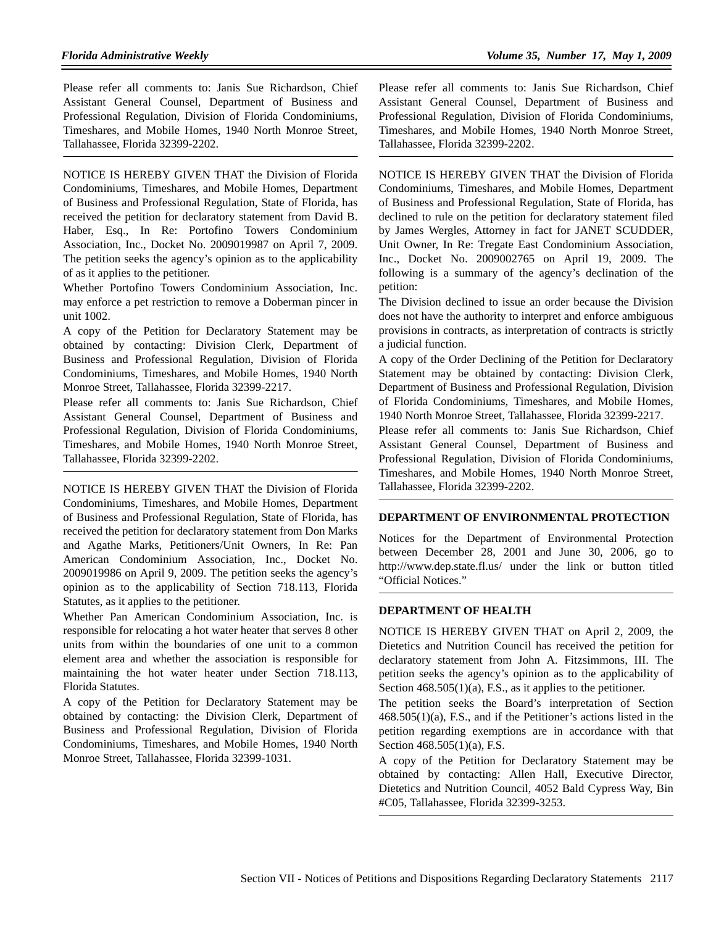Please refer all comments to: Janis Sue Richardson, Chief Assistant General Counsel, Department of Business and Professional Regulation, Division of Florida Condominiums, Timeshares, and Mobile Homes, 1940 North Monroe Street, Tallahassee, Florida 32399-2202.

NOTICE IS HEREBY GIVEN THAT the Division of Florida Condominiums, Timeshares, and Mobile Homes, Department of Business and Professional Regulation, State of Florida, has received the petition for declaratory statement from David B. Haber, Esq., In Re: Portofino Towers Condominium Association, Inc., Docket No. 2009019987 on April 7, 2009. The petition seeks the agency's opinion as to the applicability of as it applies to the petitioner.

Whether Portofino Towers Condominium Association, Inc. may enforce a pet restriction to remove a Doberman pincer in unit 1002.

A copy of the Petition for Declaratory Statement may be obtained by contacting: Division Clerk, Department of Business and Professional Regulation, Division of Florida Condominiums, Timeshares, and Mobile Homes, 1940 North Monroe Street, Tallahassee, Florida 32399-2217.

Please refer all comments to: Janis Sue Richardson, Chief Assistant General Counsel, Department of Business and Professional Regulation, Division of Florida Condominiums, Timeshares, and Mobile Homes, 1940 North Monroe Street, Tallahassee, Florida 32399-2202.

NOTICE IS HEREBY GIVEN THAT the Division of Florida Condominiums, Timeshares, and Mobile Homes, Department of Business and Professional Regulation, State of Florida, has received the petition for declaratory statement from Don Marks and Agathe Marks, Petitioners/Unit Owners, In Re: Pan American Condominium Association, Inc., Docket No. 2009019986 on April 9, 2009. The petition seeks the agency's opinion as to the applicability of Section 718.113, Florida Statutes, as it applies to the petitioner.

Whether Pan American Condominium Association, Inc. is responsible for relocating a hot water heater that serves 8 other units from within the boundaries of one unit to a common element area and whether the association is responsible for maintaining the hot water heater under Section 718.113, Florida Statutes.

A copy of the Petition for Declaratory Statement may be obtained by contacting: the Division Clerk, Department of Business and Professional Regulation, Division of Florida Condominiums, Timeshares, and Mobile Homes, 1940 North Monroe Street, Tallahassee, Florida 32399-1031.

Please refer all comments to: Janis Sue Richardson, Chief Assistant General Counsel, Department of Business and Professional Regulation, Division of Florida Condominiums, Timeshares, and Mobile Homes, 1940 North Monroe Street, Tallahassee, Florida 32399-2202.

NOTICE IS HEREBY GIVEN THAT the Division of Florida Condominiums, Timeshares, and Mobile Homes, Department of Business and Professional Regulation, State of Florida, has declined to rule on the petition for declaratory statement filed by James Wergles, Attorney in fact for JANET SCUDDER, Unit Owner, In Re: Tregate East Condominium Association, Inc., Docket No. 2009002765 on April 19, 2009. The following is a summary of the agency's declination of the petition:

The Division declined to issue an order because the Division does not have the authority to interpret and enforce ambiguous provisions in contracts, as interpretation of contracts is strictly a judicial function.

A copy of the Order Declining of the Petition for Declaratory Statement may be obtained by contacting: Division Clerk, Department of Business and Professional Regulation, Division of Florida Condominiums, Timeshares, and Mobile Homes, 1940 North Monroe Street, Tallahassee, Florida 32399-2217.

Please refer all comments to: Janis Sue Richardson, Chief Assistant General Counsel, Department of Business and Professional Regulation, Division of Florida Condominiums, Timeshares, and Mobile Homes, 1940 North Monroe Street, Tallahassee, Florida 32399-2202.

#### **DEPARTMENT OF ENVIRONMENTAL PROTECTION**

Notices for the Department of Environmental Protection between December 28, 2001 and June 30, 2006, go to http://www.dep.state.fl.us/ under the link or button titled "Official Notices."

#### **DEPARTMENT OF HEALTH**

NOTICE IS HEREBY GIVEN THAT on April 2, 2009, the Dietetics and Nutrition Council has received the petition for declaratory statement from John A. Fitzsimmons, III. The petition seeks the agency's opinion as to the applicability of Section  $468.505(1)(a)$ , F.S., as it applies to the petitioner.

The petition seeks the Board's interpretation of Section 468.505(1)(a), F.S., and if the Petitioner's actions listed in the petition regarding exemptions are in accordance with that Section 468.505(1)(a), F.S.

A copy of the Petition for Declaratory Statement may be obtained by contacting: Allen Hall, Executive Director, Dietetics and Nutrition Council, 4052 Bald Cypress Way, Bin #C05, Tallahassee, Florida 32399-3253.